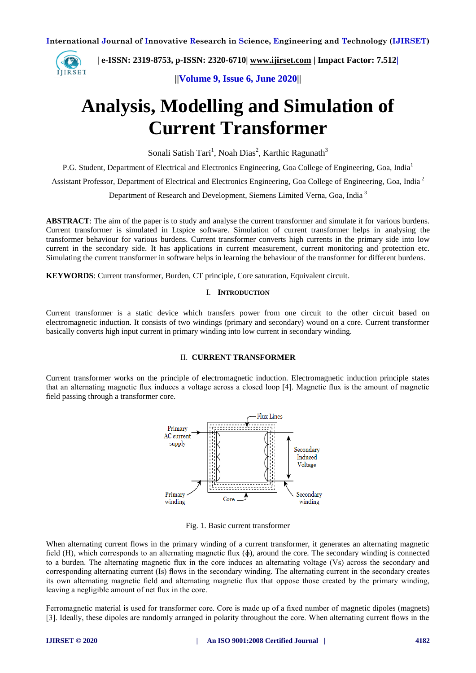

 **| e-ISSN: 2319-8753, p-ISSN: 2320-6710| [www.ijirset.com](http://www.ijirset.com/) | Impact Factor: 7.512|**

**||Volume 9, Issue 6, June 2020||** 

# **Analysis, Modelling and Simulation of Current Transformer**

Sonali Satish Tari<sup>1</sup>, Noah Dias<sup>2</sup>, Karthic Ragunath<sup>3</sup>

P.G. Student, Department of Electrical and Electronics Engineering, Goa College of Engineering, Goa, India<sup>1</sup>

Assistant Professor, Department of Electrical and Electronics Engineering, Goa College of Engineering, Goa, India <sup>2</sup>

Department of Research and Development, Siemens Limited Verna, Goa, India <sup>3</sup>

**ABSTRACT**: The aim of the paper is to study and analyse the current transformer and simulate it for various burdens. Current transformer is simulated in Ltspice software. Simulation of current transformer helps in analysing the transformer behaviour for various burdens. Current transformer converts high currents in the primary side into low current in the secondary side. It has applications in current measurement, current monitoring and protection etc. Simulating the current transformer in software helps in learning the behaviour of the transformer for different burdens.

**KEYWORDS**: Current transformer, Burden, CT principle, Core saturation, Equivalent circuit.

#### I. **INTRODUCTION**

Current transformer is a static device which transfers power from one circuit to the other circuit based on electromagnetic induction. It consists of two windings (primary and secondary) wound on a core. Current transformer basically converts high input current in primary winding into low current in secondary winding.

## II. **CURRENT TRANSFORMER**

Current transformer works on the principle of electromagnetic induction. Electromagnetic induction principle states that an alternating magnetic flux induces a voltage across a closed loop [4]. Magnetic flux is the amount of magnetic field passing through a transformer core.



Fig. 1. Basic current transformer

When alternating current flows in the primary winding of a current transformer, it generates an alternating magnetic field  $(H)$ , which corresponds to an alternating magnetic flux  $(\phi)$ , around the core. The secondary winding is connected to a burden. The alternating magnetic flux in the core induces an alternating voltage (Vs) across the secondary and corresponding alternating current (Is) flows in the secondary winding. The alternating current in the secondary creates its own alternating magnetic field and alternating magnetic flux that oppose those created by the primary winding, leaving a negligible amount of net flux in the core.

Ferromagnetic material is used for transformer core. Core is made up of a fixed number of magnetic dipoles (magnets) [3]. Ideally, these dipoles are randomly arranged in polarity throughout the core. When alternating current flows in the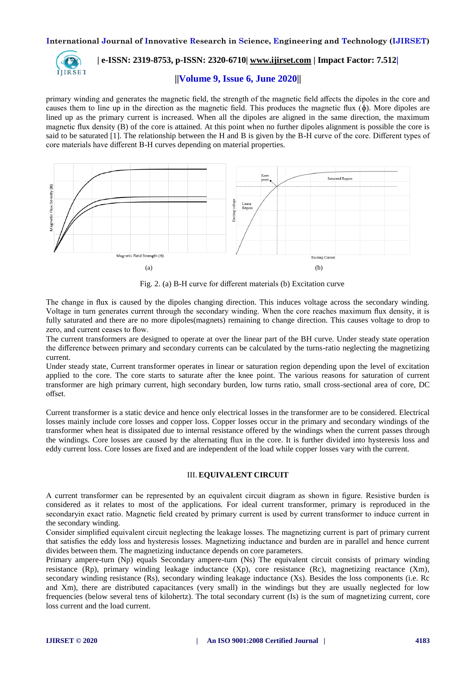

# **| e-ISSN: 2319-8753, p-ISSN: 2320-6710| [www.ijirset.com](http://www.ijirset.com/) | Impact Factor: 7.512|**

## **||Volume 9, Issue 6, June 2020||**

primary winding and generates the magnetic field, the strength of the magnetic field affects the dipoles in the core and causes them to line up in the direction as the magnetic field. This produces the magnetic flux (ɸ). More dipoles are lined up as the primary current is increased. When all the dipoles are aligned in the same direction, the maximum magnetic flux density (B) of the core is attained. At this point when no further dipoles alignment is possible the core is said to be saturated [1]. The relationship between the H and B is given by the B-H curve of the core. Different types of core materials have different B-H curves depending on material properties.



Fig. 2. (a) B-H curve for different materials (b) Excitation curve

The change in flux is caused by the dipoles changing direction. This induces voltage across the secondary winding. Voltage in turn generates current through the secondary winding. When the core reaches maximum flux density, it is fully saturated and there are no more dipoles(magnets) remaining to change direction. This causes voltage to drop to zero, and current ceases to flow.

The current transformers are designed to operate at over the linear part of the BH curve. Under steady state operation the difference between primary and secondary currents can be calculated by the turns-ratio neglecting the magnetizing current.

Under steady state, Current transformer operates in linear or saturation region depending upon the level of excitation applied to the core. The core starts to saturate after the knee point. The various reasons for saturation of current transformer are high primary current, high secondary burden, low turns ratio, small cross-sectional area of core, DC offset.

Current transformer is a static device and hence only electrical losses in the transformer are to be considered. Electrical losses mainly include core losses and copper loss. Copper losses occur in the primary and secondary windings of the transformer when heat is dissipated due to internal resistance offered by the windings when the current passes through the windings. Core losses are caused by the alternating flux in the core. It is further divided into hysteresis loss and eddy current loss. Core losses are fixed and are independent of the load while copper losses vary with the current.

#### III. **EQUIVALENT CIRCUIT**

A current transformer can be represented by an equivalent circuit diagram as shown in figure. Resistive burden is considered as it relates to most of the applications. For ideal current transformer, primary is reproduced in the secondaryin exact ratio. Magnetic field created by primary current is used by current transformer to induce current in the secondary winding.

Consider simplified equivalent circuit neglecting the leakage losses. The magnetizing current is part of primary current that satisfies the eddy loss and hysteresis losses. Magnetizing inductance and burden are in parallel and hence current divides between them. The magnetizing inductance depends on core parameters.

Primary ampere-turn (Np) equals Secondary ampere-turn (Ns) The equivalent circuit consists of primary winding resistance (Rp), primary winding leakage inductance (Xp), core resistance (Rc), magnetizing reactance (Xm), secondary winding resistance (Rs), secondary winding leakage inductance (Xs). Besides the loss components (i.e. Rc and Xm), there are distributed capacitances (very small) in the windings but they are usually neglected for low frequencies (below several tens of kilohertz). The total secondary current (Is) is the sum of magnetizing current, core loss current and the load current.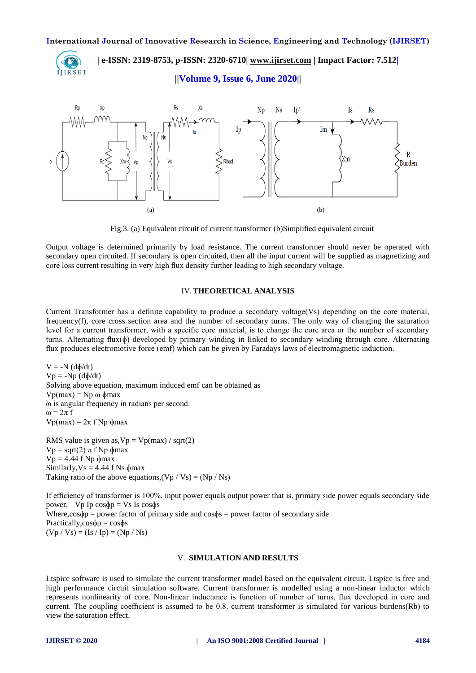

 **| e-ISSN: 2319-8753, p-ISSN: 2320-6710| [www.ijirset.com](http://www.ijirset.com/) | Impact Factor: 7.512|**

**||Volume 9, Issue 6, June 2020||** 



Fig.3. (a) Equivalent circuit of current transformer (b)Simplified equivalent circuit

Output voltage is determined primarily by load resistance. The current transformer should never be operated with secondary open circuited. If secondary is open circuited, then all the input current will be supplied as magnetizing and core loss current resulting in very high flux density further leading to high secondary voltage.

#### IV.**THEORETICAL ANALYSIS**

Current Transformer has a definite capability to produce a secondary voltage(Vs) depending on the core material, frequency(f), core cross section area and the number of secondary turns. The only way of changing the saturation level for a current transformer, with a specific core material, is to change the core area or the number of secondary turns. Alternating flux(ɸ) developed by primary winding in linked to secondary winding through core. Alternating flux produces electromotive force (emf) which can be given by Faradays laws of electromagnetic induction.

 $V = -N (d\phi/dt)$  $Vp = -Np (d\phi/dt)$ Solving above equation, maximum induced emf can be obtained as Vp(max) = Np ω ɸmax ω is angular frequency in radians per second.  $\omega = 2\pi f$ Vp(max) = 2π f Np ɸmax

RMS value is given as,  $Vp = Vp(max) / sqrt(2)$ Vp = sqrt(2)  $\pi$  f Np  $\phi$ max  $Vp = 4.44$  f Np  $\phi$ max Similarly,  $Vs = 4.44$  f Ns  $\phi$ max Taking ratio of the above equations,  $(Vp / Vs) = (Np / Ns)$ 

If efficiency of transformer is 100%, input power equals output power that is, primary side power equals secondary side power,  $Vp$  Ip  $cos\phi p = Vs$  Is  $cos\phi s$ Where, $\cos\phi$  = power factor of primary side and  $\cos\phi$  = power factor of secondary side Practically, $\cos\phi p = \cos\phi s$  $(Vp / Vs) = (Is / Ip) = (Np / Ns)$ 

#### V. **SIMULATION AND RESULTS**

Ltspice software is used to simulate the current transformer model based on the equivalent circuit. Ltspice is free and high performance circuit simulation software. Current transformer is modelled using a non-linear inductor which represents nonlinearity of core. Non-linear inductance is function of number of turns, flux developed in core and current. The coupling coefficient is assumed to be 0.8. current transformer is simulated for various burdens(Rb) to view the saturation effect.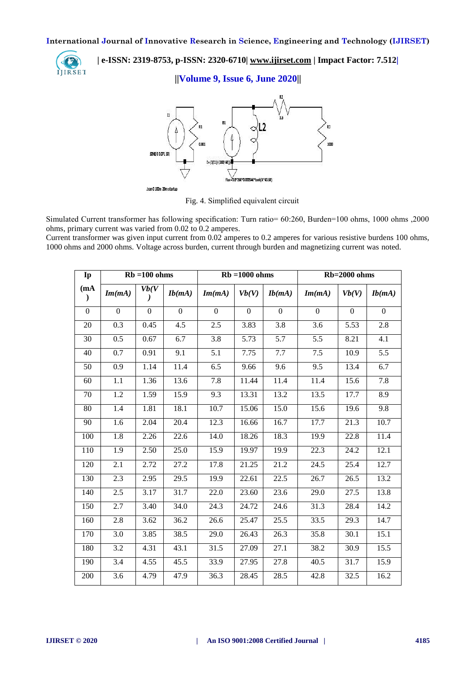

 **| e-ISSN: 2319-8753, p-ISSN: 2320-6710| [www.ijirset.com](http://www.ijirset.com/) | Impact Factor: 7.512|**

**||Volume 9, Issue 6, June 2020||** 



Fig. 4. Simplified equivalent circuit

Simulated Current transformer has following specification: Turn ratio= 60:260, Burden=100 ohms, 1000 ohms ,2000 ohms, primary current was varied from 0.02 to 0.2 amperes.

Current transformer was given input current from 0.02 amperes to 0.2 amperes for various resistive burdens 100 ohms, 1000 ohms and 2000 ohms. Voltage across burden, current through burden and magnetizing current was noted.

| Ip                   | $Rb = 100 ohms$  |                    |                   | $Rb = 1000 ohms$ |              |                  | Rb=2000 ohms      |                   |          |
|----------------------|------------------|--------------------|-------------------|------------------|--------------|------------------|-------------------|-------------------|----------|
| (mA<br>$\mathcal{L}$ | Im(mA)           | Vb(V)<br>$\lambda$ | Ib(mA)            | Im(mA)           | Vb(V)        | Ib(mA)           | Im(mA)            | Vb(V)             | Ib(mA)   |
| $\overline{0}$       | $\mathbf{0}$     | $\mathbf{0}$       | $\Omega$          | $\Omega$         | $\mathbf{0}$ | $\Omega$         | $\overline{0}$    | $\overline{0}$    | $\Omega$ |
| 20                   | 0.3              | 0.45               | 4.5               | 2.5              | 3.83         | 3.8              | 3.6               | 5.53              | 2.8      |
| $\overline{30}$      | $\overline{0.5}$ | 0.67               | 6.7               | $\overline{3.8}$ | 5.73         | $\overline{5.7}$ | $\overline{5.5}$  | 8.21              | 4.1      |
| 40                   | $\overline{0.7}$ | 0.91               | 9.1               | 5.1              | 7.75         | 7.7              | 7.5               | 10.9              | 5.5      |
| $\overline{50}$      | $\overline{0.9}$ | 1.14               | $\overline{11.4}$ | 6.5              | 9.66         | $\overline{9.6}$ | 9.5               | 13.4              | 6.7      |
| 60                   | 1.1              | 1.36               | 13.6              | 7.8              | 11.44        | 11.4             | 11.4              | 15.6              | 7.8      |
| 70                   | 1.2              | 1.59               | 15.9              | 9.3              | 13.31        | 13.2             | 13.5              | 17.7              | 8.9      |
| 80                   | 1.4              | 1.81               | 18.1              | 10.7             | 15.06        | 15.0             | 15.6              | 19.6              | 9.8      |
| 90                   | 1.6              | 2.04               | 20.4              | 12.3             | 16.66        | 16.7             | 17.7              | $\overline{21.3}$ | 10.7     |
| 100                  | 1.8              | 2.26               | 22.6              | 14.0             | 18.26        | 18.3             | 19.9              | 22.8              | 11.4     |
| 110                  | $\overline{1.9}$ | 2.50               | 25.0              | 15.9             | 19.97        | 19.9             | $\overline{22.3}$ | 24.2              | 12.1     |
| 120                  | 2.1              | 2.72               | 27.2              | 17.8             | 21.25        | 21.2             | 24.5              | 25.4              | 12.7     |
| 130                  | $\overline{2.3}$ | 2.95               | $\overline{29.5}$ | 19.9             | 22.61        | 22.5             | 26.7              | 26.5              | 13.2     |
| 140                  | 2.5              | 3.17               | 31.7              | 22.0             | 23.60        | 23.6             | 29.0              | 27.5              | 13.8     |
| 150                  | 2.7              | 3.40               | 34.0              | 24.3             | 24.72        | 24.6             | 31.3              | 28.4              | 14.2     |
| 160                  | 2.8              | 3.62               | 36.2              | 26.6             | 25.47        | 25.5             | 33.5              | 29.3              | 14.7     |
| 170                  | 3.0              | 3.85               | 38.5              | 29.0             | 26.43        | 26.3             | 35.8              | 30.1              | 15.1     |
| 180                  | $\overline{3.2}$ | 4.31               | 43.1              | 31.5             | 27.09        | 27.1             | 38.2              | 30.9              | 15.5     |
| 190                  | $\overline{3.4}$ | 4.55               | 45.5              | 33.9             | 27.95        | 27.8             | 40.5              | 31.7              | 15.9     |
| 200                  | $\overline{3.6}$ | 4.79               | 47.9              | 36.3             | 28.45        | 28.5             | 42.8              | 32.5              | 16.2     |